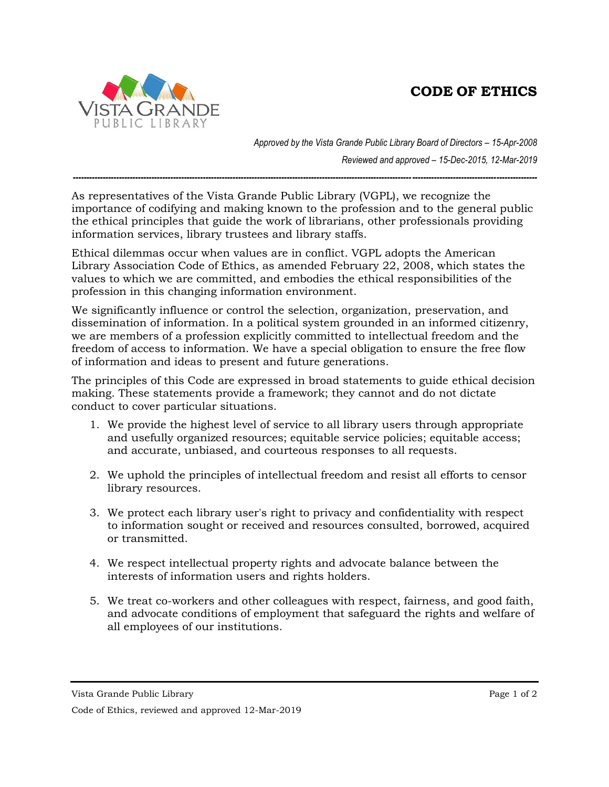## **CODE OF ETHICS**



*Approved by the Vista Grande Public Library Board of Directors – 15-Apr-2008 Reviewed and approved – 15-Dec-2015, 12-Mar-2019*

*---------------------------------------------------------------------------------------------------------------------------------------------------------------------------*

As representatives of the Vista Grande Public Library (VGPL), we recognize the importance of codifying and making known to the profession and to the general public the ethical principles that guide the work of librarians, other professionals providing information services, library trustees and library staffs.

Ethical dilemmas occur when values are in conflict. VGPL adopts the American Library Association Code of Ethics, as amended February 22, 2008, which states the values to which we are committed, and embodies the ethical responsibilities of the profession in this changing information environment.

We significantly influence or control the selection, organization, preservation, and dissemination of information. In a political system grounded in an informed citizenry, we are members of a profession explicitly committed to intellectual freedom and the freedom of access to information. We have a special obligation to ensure the free flow of information and ideas to present and future generations.

The principles of this Code are expressed in broad statements to guide ethical decision making. These statements provide a framework; they cannot and do not dictate conduct to cover particular situations.

- 1. We provide the highest level of service to all library users through appropriate and usefully organized resources; equitable service policies; equitable access; and accurate, unbiased, and courteous responses to all requests.
- 2. We uphold the principles of intellectual freedom and resist all efforts to censor library resources.
- 3. We protect each library user's right to privacy and confidentiality with respect to information sought or received and resources consulted, borrowed, acquired or transmitted.
- 4. We respect intellectual property rights and advocate balance between the interests of information users and rights holders.
- 5. We treat co-workers and other colleagues with respect, fairness, and good faith, and advocate conditions of employment that safeguard the rights and welfare of all employees of our institutions.

Vista Grande Public Library Page 1 of 2

Code of Ethics, reviewed and approved 12-Mar-2019